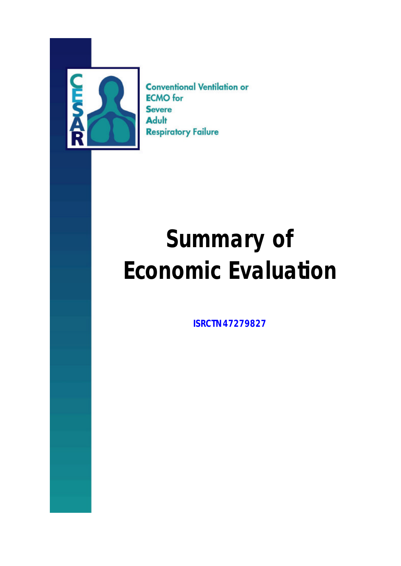

**Conventional Ventilation or ECMO** for **Severe** Adult **Respiratory Failure** 

# **Summary of Economic Evaluation**

**ISRCTN47279827**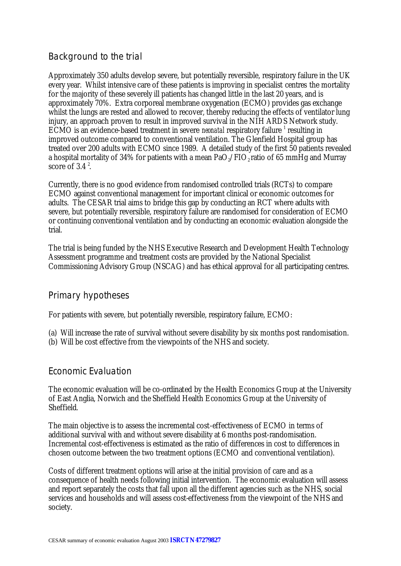## Background to the trial

Approximately 350 adults develop severe, but potentially reversible, respiratory failure in the UK every year. Whilst intensive care of these patients is improving in specialist centres the mortality for the majority of these severely ill patients has changed little in the last 20 years, and is approximately 70%. Extra corporeal membrane oxygenation (ECMO) provides gas exchange whilst the lungs are rested and allowed to recover, thereby reducing the effects of ventilator lung injury, an approach proven to result in improved survival in the NIH ARDS Network study. ECMO is an evidence-based treatment in severe *neonatal* respiratory failure <sup>1</sup> resulting in improved outcome compared to conventional ventilation. The Glenfield Hospital group has treated over 200 adults with ECMO since 1989. A detailed study of the first 50 patients revealed a hospital mortality of 34% for patients with a mean  $PaO<sub>2</sub>/FIO<sub>2</sub>$  ratio of 65 mmHg and Murray score of 3.4 $^2$ .

Currently, there is no good evidence from randomised controlled trials (RCTs) to compare ECMO against conventional management for important clinical or economic outcomes for adults. The CESAR trial aims to bridge this gap by conducting an RCT where adults with severe, but potentially reversible, respiratory failure are randomised for consideration of ECMO or continuing conventional ventilation and by conducting an economic evaluation alongside the trial.

The trial is being funded by the NHS Executive Research and Development Health Technology Assessment programme and treatment costs are provided by the National Specialist Commissioning Advisory Group (NSCAG) and has ethical approval for all participating centres.

### Primary hypotheses

For patients with severe, but potentially reversible, respiratory failure, ECMO:

- (a) Will increase the rate of survival without severe disability by six months post randomisation.
- (b) Will be cost effective from the viewpoints of the NHS and society.

### Economic Evaluation

The economic evaluation will be co-ordinated by the Health Economics Group at the University of East Anglia, Norwich and the Sheffield Health Economics Group at the University of Sheffield.

The main objective is to assess the incremental cost-effectiveness of ECMO in terms of additional survival with and without severe disability at 6 months post-randomisation. Incremental cost-effectiveness is estimated as the ratio of differences in cost to differences in chosen outcome between the two treatment options (ECMO and conventional ventilation).

Costs of different treatment options will arise at the initial provision of care and as a consequence of health needs following initial intervention. The economic evaluation will assess and report separately the costs that fall upon all the different agencies such as the NHS, social services and households and will assess cost-effectiveness from the viewpoint of the NHS and society.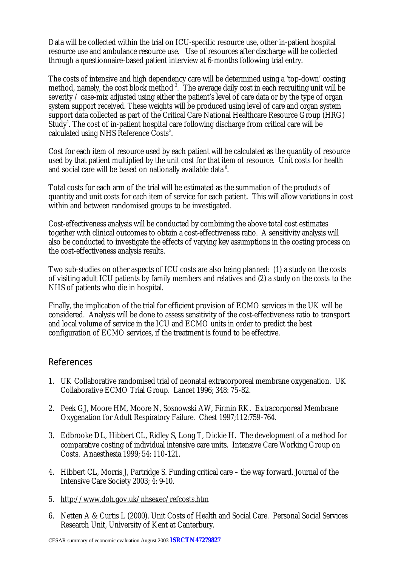Data will be collected within the trial on ICU-specific resource use, other in-patient hospital resource use and ambulance resource use. Use of resources after discharge will be collected through a questionnaire-based patient interview at 6-months following trial entry.

The costs of intensive and high dependency care will be determined using a 'top-down' costing method, namely, the cost block method<sup>3</sup>. The average daily cost in each recruiting unit will be severity / case-mix adjusted using either the patient's level of care data or by the type of organ system support received. These weights will be produced using level of care and organ system support data collected as part of the Critical Care National Healthcare Resource Group (HRG) Study<sup>4</sup>. The cost of in-patient hospital care following discharge from critical care will be calculated using NHS Reference Costs<sup>5</sup>.

Cost for each item of resource used by each patient will be calculated as the quantity of resource used by that patient multiplied by the unit cost for that item of resource. Unit costs for health and social care will be based on nationally available data<sup>6</sup>.

Total costs for each arm of the trial will be estimated as the summation of the products of quantity and unit costs for each item of service for each patient. This will allow variations in cost within and between randomised groups to be investigated.

Cost-effectiveness analysis will be conducted by combining the above total cost estimates together with clinical outcomes to obtain a cost-effectiveness ratio. A sensitivity analysis will also be conducted to investigate the effects of varying key assumptions in the costing process on the cost-effectiveness analysis results.

Two sub-studies on other aspects of ICU costs are also being planned: (1) a study on the costs of visiting adult ICU patients by family members and relatives and (2) a study on the costs to the NHS of patients who die in hospital.

Finally, the implication of the trial for efficient provision of ECMO services in the UK will be considered. Analysis will be done to assess sensitivity of the cost-effectiveness ratio to transport and local volume of service in the ICU and ECMO units in order to predict the best configuration of ECMO services, if the treatment is found to be effective.

### References

- 1. UK Collaborative randomised trial of neonatal extracorporeal membrane oxygenation. UK Collaborative ECMO Trial Group. Lancet 1996; 348: 75-82.
- 2. Peek GJ, Moore HM, Moore N, Sosnowski AW, Firmin RK. Extracorporeal Membrane Oxygenation for Adult Respiratory Failure. Chest 1997;112:759-764.
- 3. Edbrooke DL, Hibbert CL, Ridley S, Long T, Dickie H. The development of a method for comparative costing of individual intensive care units. Intensive Care Working Group on Costs. Anaesthesia 1999; 54: 110-121.
- 4. Hibbert CL, Morris J, Partridge S. Funding critical care the way forward. Journal of the Intensive Care Society 2003; 4: 9-10.
- 5. http://www.doh.gov.uk/nhsexec/refcosts.htm
- 6. Netten A & Curtis L (2000). Unit Costs of Health and Social Care. Personal Social Services Research Unit, University of Kent at Canterbury.